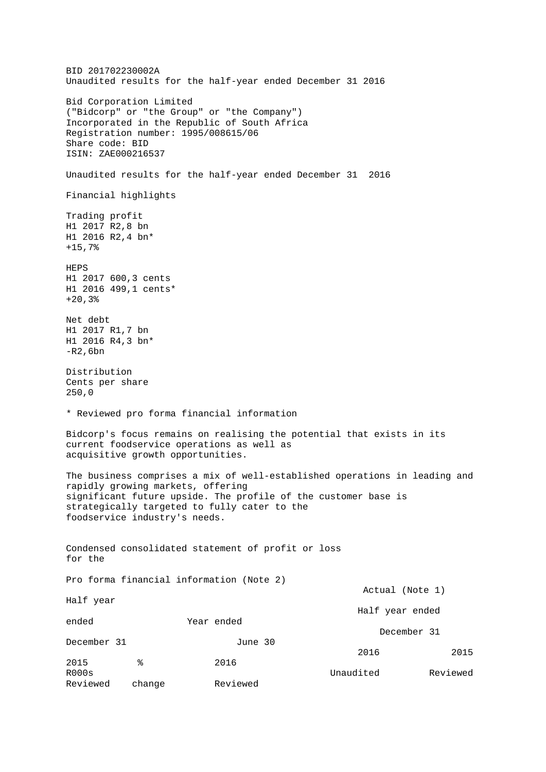BID 201702230002A Unaudited results for the half-year ended December 31 2016 Bid Corporation Limited ("Bidcorp" or "the Group" or "the Company") Incorporated in the Republic of South Africa Registration number: 1995/008615/06 Share code: BID ISIN: ZAE000216537 Unaudited results for the half-year ended December 31 2016 Financial highlights Trading profit H1 2017 R2,8 bn H1 2016 R2,4 bn\* +15,7% HEPS H1 2017 600,3 cents H1 2016 499,1 cents\* +20,3% Net debt H1 2017 R1,7 bn H1 2016 R4,3 bn\* -R2,6bn Distribution Cents per share 250,0 \* Reviewed pro forma financial information Bidcorp's focus remains on realising the potential that exists in its current foodservice operations as well as acquisitive growth opportunities. The business comprises a mix of well-established operations in leading and rapidly growing markets, offering significant future upside. The profile of the customer base is strategically targeted to fully cater to the foodservice industry's needs. Condensed consolidated statement of profit or loss for the Pro forma financial information (Note 2) Actual (Note 1) Half year Half year ended ended Year ended December 31 December 31 2016 2015 2015 % 2016<br>R000s Unaudited Reviewed Reviewed change Reviewed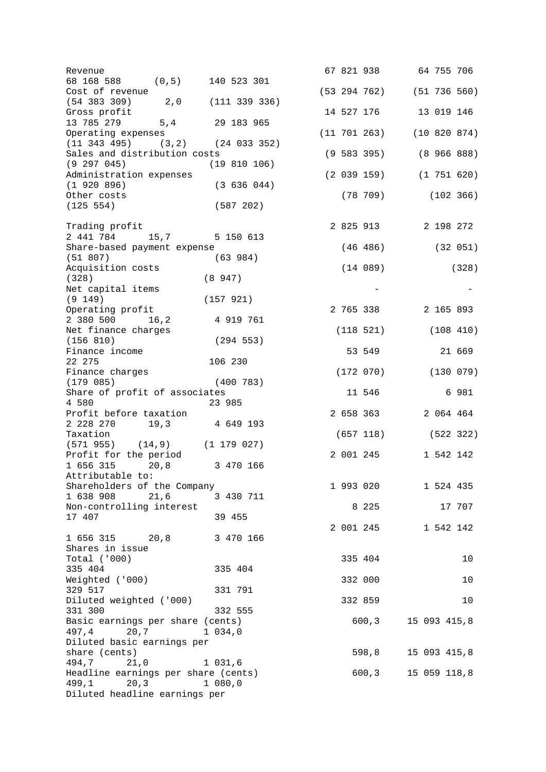| Revenue                                   |       |                 |  |  | 67 821 938 64 755 706           |                 |          |       |
|-------------------------------------------|-------|-----------------|--|--|---------------------------------|-----------------|----------|-------|
| 68 168 588 (0,5) 140 523 301              |       |                 |  |  |                                 |                 |          |       |
| Cost of revenue                           |       |                 |  |  | (53 294 762) (51 736 560)       |                 |          |       |
| $(54\ 383\ 309)$ 2,0 $(111\ 339\ 336)$    |       |                 |  |  |                                 |                 |          |       |
| Gross profit                              |       |                 |  |  | 14 527 176                      | 13 019 146      |          |       |
| 13 785 279 5,4 29 183 965                 |       |                 |  |  |                                 |                 |          |       |
| Operating expenses                        |       |                 |  |  | $(11\ 701\ 263)$                | (10 820 874)    |          |       |
| $(11\ 343\ 495)$ $(3,2)$ $(24\ 033\ 352)$ |       |                 |  |  |                                 |                 |          |       |
| Sales and distribution costs              |       |                 |  |  | $(9\ 583\ 395)$ $(8\ 966\ 888)$ |                 |          |       |
| (9 297 045)                               |       | (19 810 106)    |  |  |                                 |                 |          |       |
| Administration expenses                   |       |                 |  |  | (2 039 159)                     | $(1\ 751\ 620)$ |          |       |
| (1 920 896)                               |       | $(3\ 636\ 044)$ |  |  |                                 |                 |          |       |
| Other costs                               |       |                 |  |  | (78 709)                        | (102, 366)      |          |       |
| (125 554)                                 |       | (587 202)       |  |  |                                 |                 |          |       |
|                                           |       |                 |  |  |                                 |                 |          |       |
| Trading profit                            |       |                 |  |  | 2 825 913                       | 2 198 272       |          |       |
| 2 441 784                                 |       | 15,7 5 150 613  |  |  |                                 |                 |          |       |
|                                           |       |                 |  |  |                                 |                 |          |       |
| Share-based payment expense               |       |                 |  |  | (46 486)                        |                 | (32 051) |       |
| (51 807)                                  |       | (63984)         |  |  |                                 |                 |          |       |
| Acquisition costs                         |       |                 |  |  | (14 089)                        |                 |          | (328) |
| (328)                                     |       | (8947)          |  |  |                                 |                 |          |       |
| Net capital items                         |       |                 |  |  |                                 |                 |          |       |
| (9 149)                                   |       | (157921)        |  |  |                                 |                 |          |       |
| Operating profit                          |       |                 |  |  | 2 765 338                       | 2 165 893       |          |       |
| 2 380 500                                 | 16, 2 | 4 919 761       |  |  |                                 |                 |          |       |
| Net finance charges                       |       |                 |  |  | $(118 521)$ $(108 410)$         |                 |          |       |
| (156 810)                                 |       | (294 553)       |  |  |                                 |                 |          |       |
| Finance income                            |       |                 |  |  | 53 549                          |                 | 21 669   |       |
| 22 275                                    |       | 106 230         |  |  |                                 |                 |          |       |
| Finance charges                           |       |                 |  |  | (172 070)                       | (130 079)       |          |       |
| (179 085)                                 |       | $(400\ \ 783)$  |  |  |                                 |                 |          |       |
| Share of profit of associates             |       |                 |  |  | 11 546                          |                 | 6 981    |       |
| 4 580                                     |       | 23 985          |  |  |                                 |                 |          |       |
| Profit before taxation                    |       |                 |  |  | 2 658 363                       | 2 064 464       |          |       |
| 2 228 270                                 |       | 19,3 4 649 193  |  |  |                                 |                 |          |       |
| Taxation                                  |       |                 |  |  | $(657 118)$ $(522 322)$         |                 |          |       |
| $(571955)$ $(14,9)$ $(1179027)$           |       |                 |  |  |                                 |                 |          |       |
| Profit for the period                     |       |                 |  |  |                                 |                 |          |       |
|                                           |       |                 |  |  | 2 001 245                       | 1 542 142       |          |       |
| 1 656 315<br>20,8                         |       | 3 470 166       |  |  |                                 |                 |          |       |
| Attributable to:                          |       |                 |  |  |                                 |                 |          |       |
| Shareholders of the Company               |       |                 |  |  | 1 993 020                       | 1 524 435       |          |       |
| 21,6<br>1 638 908                         |       | 3 430 711       |  |  |                                 |                 |          |       |
| Non-controlling interest                  |       |                 |  |  | 8 2 2 5                         |                 | 17 707   |       |
| 17 407                                    |       | 39 455          |  |  |                                 |                 |          |       |
|                                           |       |                 |  |  | 2 001 245                       | 1 542 142       |          |       |
| 1 656 315 20,8                            |       | 3 470 166       |  |  |                                 |                 |          |       |
| Shares in issue                           |       |                 |  |  |                                 |                 |          |       |
| Total ('000)                              |       |                 |  |  | 335 404                         |                 |          | 10    |
| 335 404                                   |       | 335 404         |  |  |                                 |                 |          |       |
| Weighted ('000)                           |       |                 |  |  | 332 000                         |                 |          | 10    |
| 329 517                                   |       | 331 791         |  |  |                                 |                 |          |       |
| Diluted weighted ('000)                   |       |                 |  |  | 332 859                         |                 |          | 10    |
| 331 300                                   |       | 332 555         |  |  |                                 |                 |          |       |
| Basic earnings per share (cents)          |       |                 |  |  | 600,3                           | 15 093 415,8    |          |       |
| 497,4 20,7 1 034,0                        |       |                 |  |  |                                 |                 |          |       |
| Diluted basic earnings per                |       |                 |  |  |                                 |                 |          |       |
| share (cents)                             |       |                 |  |  | 598,8                           | 15 093 415,8    |          |       |
| 494,7 21,0                                |       | 1031,6          |  |  |                                 |                 |          |       |
| Headline earnings per share (cents)       |       |                 |  |  | 600,3                           | 15 059 118,8    |          |       |
| 499,1 20,3                                |       |                 |  |  |                                 |                 |          |       |
| 1080,0<br>Diluted headline earnings per   |       |                 |  |  |                                 |                 |          |       |
|                                           |       |                 |  |  |                                 |                 |          |       |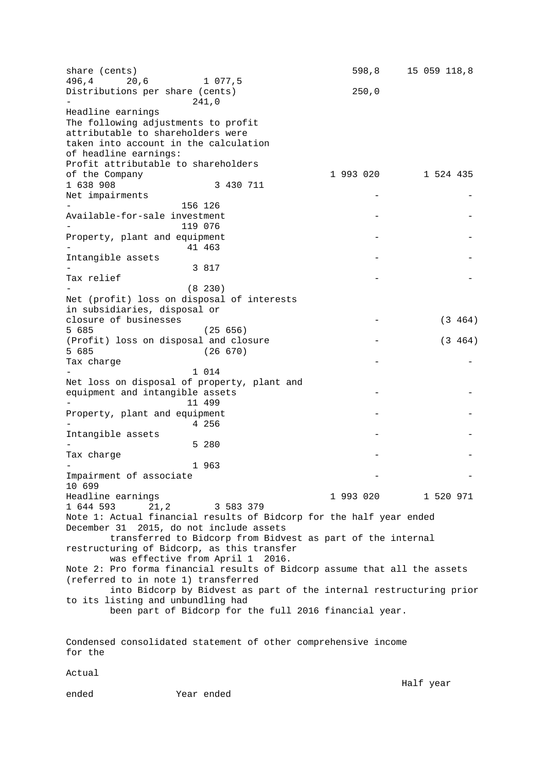share (cents)<br>
496.4 20.6 1 077.5 598,8 15 059 118,8 496,4 20,6 1 077,5 Distributions per share (cents) 250,0 - 241,0 Headline earnings The following adjustments to profit attributable to shareholders were taken into account in the calculation of headline earnings: Profit attributable to shareholders of the Company 1 993 020 1 524 435<br>1 638 908 1 3 430 711 3 430 711 Net impairments - 156 126 Available-for-sale investment - 119 076 Property, plant and equipment - 41 463 Intangible assets -<br>Tax relief 3 817 Tax relief - - - (8 230) Net (profit) loss on disposal of interests in subsidiaries, disposal or closure of businesses (25 656)  $-$  (3 464)  $(25 656)$ (Profit) loss on disposal and closure  $(3\ 464)$ <br>5 685  $(26\ 670)$  $(26 670)$ Tax charge  $1\ 014$   $-$  1 014 Net loss on disposal of property, plant and equipment and intangible assets - 11 499 Property, plant and equipment 4 256 Intangible assets - 5 280 Tax charge 1 963 Impairment of associate 10 699 Headline earnings<br>1 644 593 21,2 3 583 379 1 993 020 1 520 971 1 644 593 21,2 Note 1: Actual financial results of Bidcorp for the half year ended December 31 2015, do not include assets transferred to Bidcorp from Bidvest as part of the internal restructuring of Bidcorp, as this transfer was effective from April 1 2016. Note 2: Pro forma financial results of Bidcorp assume that all the assets (referred to in note 1) transferred into Bidcorp by Bidvest as part of the internal restructuring prior to its listing and unbundling had been part of Bidcorp for the full 2016 financial year.

Condensed consolidated statement of other comprehensive income for the

Actual

 Half year ended Year ended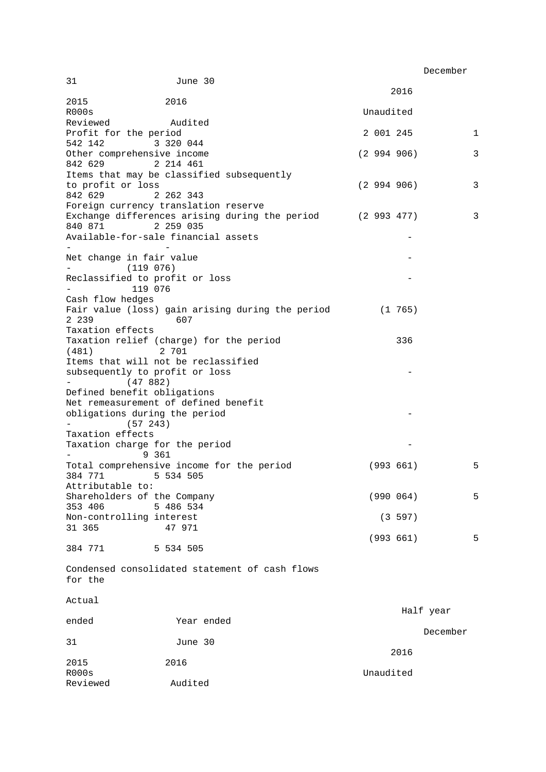december of the state of the state of the state of the state of the state of the state of the state of the state of the state of the state of the state of the state of the state of the state of the state of the state of th 31 June 30 2016 **2016** 2015 2016<br>R000s  $\begin{array}{cccc}\n\text{Unaudited} \\
\end{array}$ Reviewed Profit for the period 2 001 245 1 542 142 3 320 044 Other comprehensive income (2 994 906) 3 842 629 2 214 461 Items that may be classified subsequently to profit or loss (2 994 906) 3<br>842 629 2 262 343 2 262 343 Foreign currency translation reserve Exchange differences arising during the period (2 993 477) 3<br>840 871 2 259 035 2 259 035 Available-for-sale financial assets - - Net change in fair value  $\overline{ }$ - (119 076) Reclassified to profit or loss - 119 076 Cash flow hedges Fair value (loss) gain arising during the period  $(1\ 765)$ <br>2 239  $607$ 2 239 Taxation effects Taxation relief (charge) for the period 336<br>(481) 2 701 2 701 Items that will not be reclassified subsequently to profit or loss  $-$  (47 882) Defined benefit obligations Net remeasurement of defined benefit obligations during the period  $(57, 243)$ - (57 243) Taxation effects Taxation charge for the period<br>- 9 361  $-$  9  $-$  9  $-$  9  $-$ Total comprehensive income for the period (993 661) 5<br>384 771 5 534 505 5 534 505 Attributable to: Shareholders of the Company (990 064) 5<br>353 406 5 486 534 353 406 5 486 534 Non-controlling interest (3 597)<br>31 365 47 971 31 365  $(993 \t661)$  5 384 771 5 534 505 Condensed consolidated statement of cash flows for the Actual Half year ended Year ended december in the state of the state of the state of the state of the state of the state of the state of the state of the state of the state of the state of the state of the state of the state of the state of the state of th 31 June 30 2016 **2016** 2015 2016 R000s Unaudited Reviewed Audited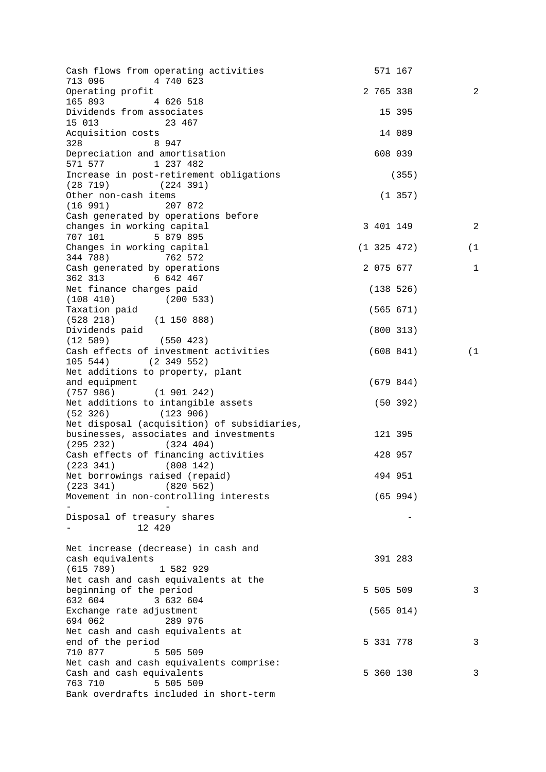| Cash flows from operating activities<br>4 740 623<br>713 096     |                 | 571 167         |
|------------------------------------------------------------------|-----------------|-----------------|
| Operating profit<br>165 893<br>4 626 518                         | 2 765 338       | $\overline{2}$  |
| Dividends from associates                                        |                 | 15 395          |
| 15 013<br>23 467                                                 |                 |                 |
| Acquisition costs<br>328<br>8 9 4 7                              |                 | 14 089          |
| Depreciation and amortisation                                    | 608 039         |                 |
| 1 237 482<br>571 577                                             |                 |                 |
| Increase in post-retirement obligations                          |                 | (355)           |
| $(28 719)$ $(224 391)$<br>Other non-cash items                   |                 | (1 357)         |
| 207 872<br>(16991)                                               |                 |                 |
| Cash generated by operations before                              |                 |                 |
| changes in working capital<br>707 101<br>5 879 895               | 3 401 149       | 2               |
| Changes in working capital                                       | $(1\;325\;472)$ | (1)             |
| 344 788)<br>762 572                                              |                 |                 |
| Cash generated by operations                                     | 2 075 677       | $\mathbf{1}$    |
| 362 313<br>6 642 467<br>Net finance charges paid                 | (138 526)       |                 |
| (200 533)<br>(108 410)                                           |                 |                 |
| Taxation paid                                                    | (565 671)       |                 |
| $(528 218)$ $(1 150 888)$                                        |                 |                 |
| Dividends paid<br>$(12 589)$ $(550 423)$                         |                 | (800 313)       |
| Cash effects of investment activities                            |                 | (608841)<br>(1) |
| 105, 544)<br>$(2\;349\;552)$                                     |                 |                 |
| Net additions to property, plant                                 |                 |                 |
| and equipment<br>$(757986)$ $(1901242)$                          | (679844)        |                 |
| Net additions to intangible assets                               |                 | (50 392)        |
| $(52 \t326)$ $(123 \t906)$                                       |                 |                 |
| Net disposal (acquisition) of subsidiaries,                      | 121 395         |                 |
| businesses, associates and investments<br>(324 404)<br>(295 232) |                 |                 |
| Cash effects of financing activities                             |                 | 428 957         |
| $(223 341)$ $(808 142)$                                          |                 |                 |
| Net borrowings raised (repaid)<br>(223 341)<br>(820 562)         | 494 951         |                 |
| Movement in non-controlling interests                            |                 | (65994)         |
|                                                                  |                 |                 |
| Disposal of treasury shares                                      |                 |                 |
| 12 420                                                           |                 |                 |
| Net increase (decrease) in cash and                              |                 |                 |
| cash equivalents                                                 | 391 283         |                 |
| (615 789)<br>1 582 929                                           |                 |                 |
| Net cash and cash equivalents at the<br>beginning of the period  | 5 505 509       | 3               |
| 632 604<br>3 632 604                                             |                 |                 |
| Exchange rate adjustment                                         | (565 014)       |                 |
| 694 062<br>289 976                                               |                 |                 |
| Net cash and cash equivalents at<br>end of the period            | 5 331 778       | 3               |
| 710 877<br>5 505 509                                             |                 |                 |
| Net cash and cash equivalents comprise:                          |                 |                 |
| Cash and cash equivalents<br>5 505 509<br>763 710                | 5 360 130       | 3               |
| Bank overdrafts included in short-term                           |                 |                 |
|                                                                  |                 |                 |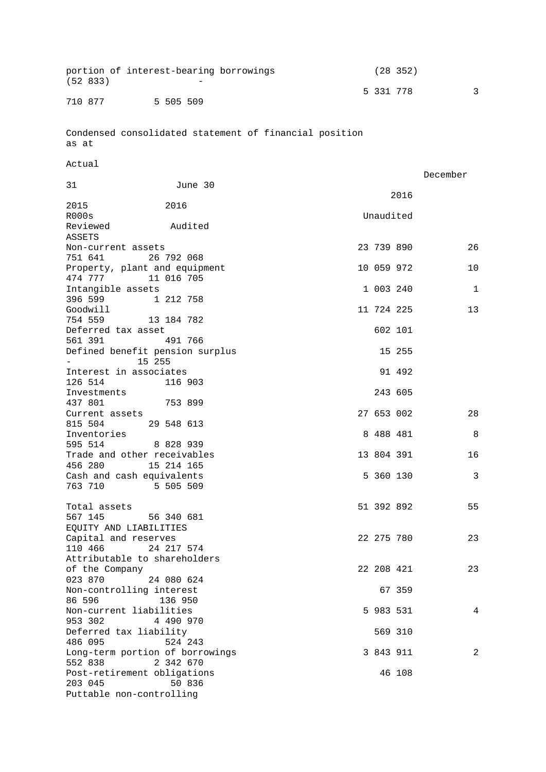|         |          |           | portion of interest-bearing borrowings |           | (28352) |  |
|---------|----------|-----------|----------------------------------------|-----------|---------|--|
|         | (52 833) | -         |                                        |           |         |  |
|         |          |           |                                        | 5 331 778 |         |  |
| 710 877 |          | 5 505 509 |                                        |           |         |  |

Condensed consolidated statement of financial position as at

Actual

|                                           |            |            |        | December |
|-------------------------------------------|------------|------------|--------|----------|
| 31                                        | June 30    |            | 2016   |          |
| 2015                                      | 2016       |            |        |          |
| R000s                                     |            | Unaudited  |        |          |
| Reviewed                                  | Audited    |            |        |          |
| <b>ASSETS</b>                             |            |            |        |          |
| Non-current assets                        |            | 23 739 890 |        | 26       |
| 751 641                                   | 26 792 068 |            |        |          |
| Property, plant and equipment             |            | 10 059 972 |        | 10       |
| 474 777                                   | 11 016 705 |            |        |          |
| Intangible assets                         |            | 1 003 240  |        | 1        |
| 396 599                                   | 1 212 758  |            |        |          |
| Goodwill                                  |            | 11 724 225 |        | 13       |
| 754 559 13 184 782                        |            |            |        |          |
| Deferred tax asset                        |            | 602 101    |        |          |
| 561 391                                   | 491 766    |            |        |          |
|                                           |            |            | 15 255 |          |
| Defined benefit pension surplus<br>15 255 |            |            |        |          |
|                                           |            |            |        |          |
| Interest in associates                    |            |            | 91 492 |          |
| 126 514                                   | 116 903    |            |        |          |
| Investments                               |            | 243 605    |        |          |
| 437 801                                   | 753 899    |            |        |          |
| Current assets                            |            | 27 653 002 |        | 28       |
| 815 504                                   | 29 548 613 |            |        |          |
| Inventories                               |            | 8 488 481  |        | 8        |
| 595 514                                   | 8 828 939  |            |        |          |
| Trade and other receivables               |            | 13 804 391 |        | 16       |
| 456 280                                   | 15 214 165 |            |        |          |
| Cash and cash equivalents                 |            | 5 360 130  |        | 3        |
| 763 710                                   | 5 505 509  |            |        |          |
| Total assets                              |            | 51 392 892 |        | 55       |
| 567 145                                   | 56 340 681 |            |        |          |
| EQUITY AND LIABILITIES                    |            |            |        |          |
| Capital and reserves                      |            | 22 275 780 |        | 23       |
| 110 466                                   | 24 217 574 |            |        |          |
| Attributable to shareholders              |            |            |        |          |
| of the Company                            |            | 22 208 421 |        | 23       |
| 023 870                                   | 24 080 624 |            |        |          |
| Non-controlling interest                  |            |            | 67 359 |          |
| 86 596                                    | 136 950    |            |        |          |
| Non-current liabilities                   |            | 5 983 531  |        | 4        |
| 953 302                                   | 4 490 970  |            |        |          |
| Deferred tax liability                    |            | 569 310    |        |          |
| 486 095                                   | 524 243    |            |        |          |
| Long-term portion of borrowings           |            | 3 843 911  |        | 2        |
| 552 838                                   | 2 342 670  |            |        |          |
| Post-retirement obligations               |            |            | 46 108 |          |
| 203 045                                   | 50 836     |            |        |          |
| Puttable non-controlling                  |            |            |        |          |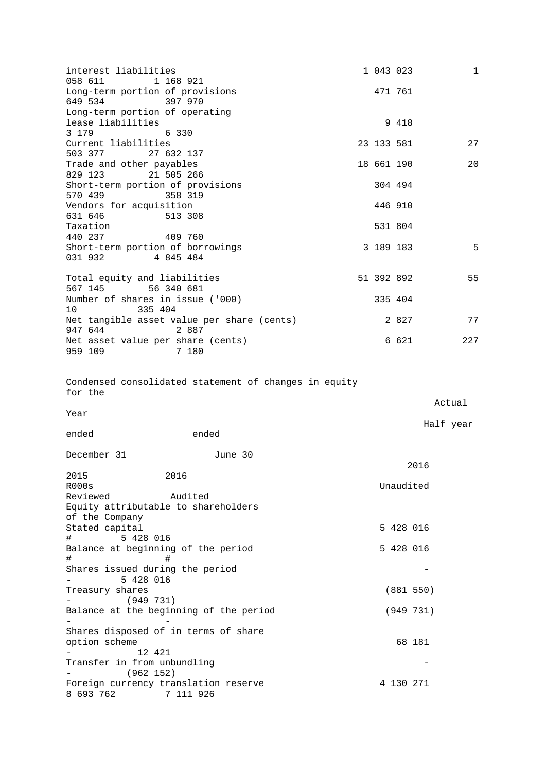interest liabilities 1 043 023 1 058 611 1 168 921 Long-term portion of provisions 471 761 649 534 397 970 Long-term portion of operating lease liabilities 6 330 and 179 9 418 6 330 Current liabilities 23 133 581 27 503 377 27 632 137 Trade and other payables 18 661 190 20 829 123 21 505 266 Short-term portion of provisions 304 494 570 439 358 319 Vendors for acquisition 446 910<br>631 646 513 308 631 646 513 308 Taxation 531 804 440 237 409 760 Short-term portion of borrowings 3 189 183 5 031 932 4 845 484 Total equity and liabilities 51 392 892 55 567 145 56 340 681 Number of shares in issue ('000) 335 404 10 335 404 Net tangible asset value per share (cents) 2 827 947 644 2 887 Net asset value per share (cents) 6 621 227 959 109 Condensed consolidated statement of changes in equity for the en and the state of the state of the state of the state of the state of the state of the state of the state of the state of the state of the state of the state of the state of the state of the state of the state of the sta Year Half year ended ended December 31 June 30 2016 2015 2016<br>R000s R000s Unaudited Audited Equity attributable to shareholders of the Company Stated capital 5 428 016 # 5 428 016 Balance at beginning of the period  $\qquad 5 \t 428 \t 016$ <br># # # Shares issued during the period - 5 428 016 Treasury shares (881 550) - (949 731) Balance at the beginning of the period (949 731) - - Shares disposed of in terms of share option scheme 68 181 - 12 421 Transfer in from unbundling - (962 152) Foreign currency translation reserve 4 130 271 8 693 762 7 111 926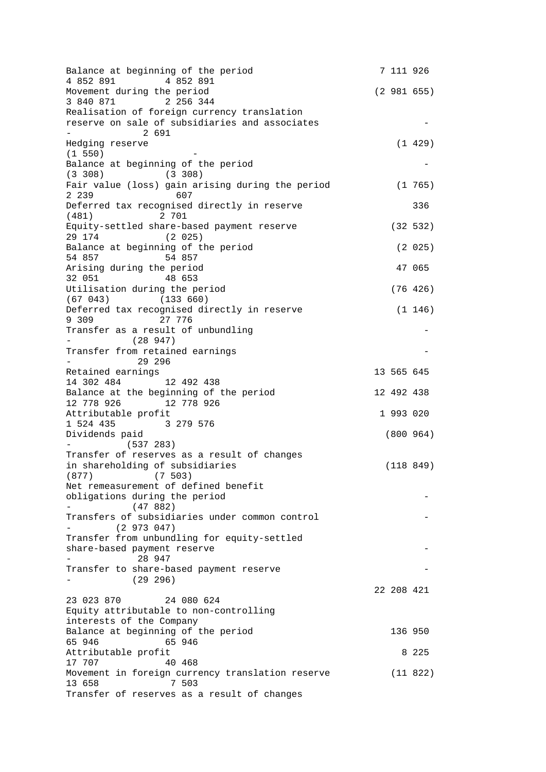Balance at beginning of the period 7 111 926 4 852 891 4 852 891 Movement during the period (2 981 655) 3 840 871 2 256 344 Realisation of foreign currency translation reserve on sale of subsidiaries and associates - 2 691 Hedging reserve (1 429)  $(1 550)$ Balance at beginning of the period -(3 308) (3 308) Fair value (loss) gain arising during the period (1 765)<br>2 239 607 2 239 Deferred tax recognised directly in reserve 336<br>(481) 2 701  $(481)$ Equity-settled share-based payment reserve (32 532) 29 174 (2 025) Balance at beginning of the period (2 025)<br>54 857 54 857 54 857 Arising during the period 47 065 32 051 48 653 Utilisation during the period (76 426) (67 043) (133 660) Deferred tax recognised directly in reserve (1 146) 9 309 27 776 Transfer as a result of unbundling - (28 947) Transfer from retained earnings - 29 296 Retained earnings 13 565 645 14 302 484 12 492 438 Balance at the beginning of the period 12 492 438 12 778 926 12 778 926 Attributable profit<br>1 524 435 1 3 279 576 1 524 435 Dividends paid (800 964) - (537 283) Transfer of reserves as a result of changes in shareholding of subsidiaries (118 849)<br>(877) (7 503)  $(7\;503)$ Net remeasurement of defined benefit obligations during the period - - (47 882) Transfers of subsidiaries under common control -  $-$  (2 973 047) Transfer from unbundling for equity-settled share-based payment reserve - - 28 947 Transfer to share-based payment reserve - (29 296) 23 023 870 24 080 624 24 080 624 Equity attributable to non-controlling interests of the Company Balance at beginning of the period 136 950<br>65 946 65 946 65 946 65 946 Attributable profit 8 225 17 707 Movement in foreign currency translation reserve (11 822) 13 658 7 503 Transfer of reserves as a result of changes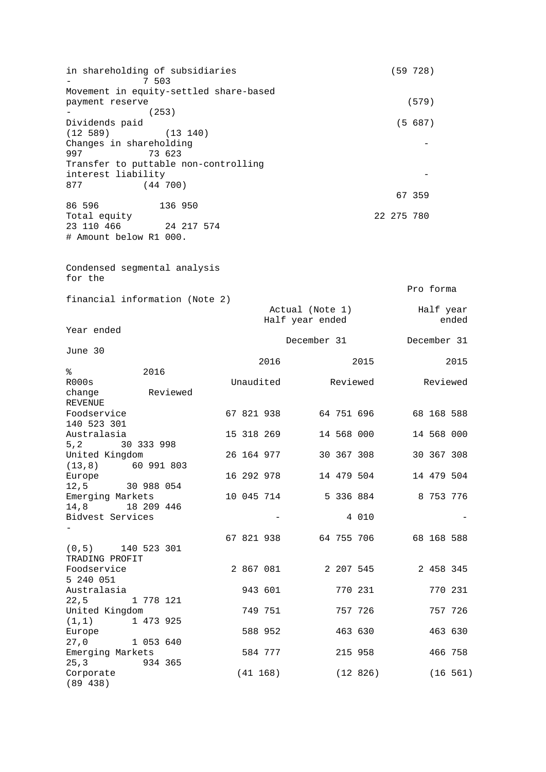in shareholding of subsidiaries (59 728) - 7 503 Movement in equity-settled share-based payment reserve (579) - (253) Dividends paid (5 687)<br>(12 589) (13 140)  $(12 589)$ Changes in shareholding 997 73 623 Transfer to puttable non-controlling interest liability<br>877 (44.7)  $(44 700)$  $\sim$  67 359 86 596 136 950 Total equity<br>23 110 466 24 217 574 23 110 466 # Amount below R1 000. Condensed segmental analysis for the Pro forma financial information (Note 2) Actual (Note 1) Half year<br>Half year ended ended Half year ended Year ended December 31 December 31 June 30 2016 2015 2015 % 2016<br>R000s Unaudited Reviewed Reviewed change Reviewed REVENUE<br>Foodservice Foodservice 67 821 938 64 751 696 68 168 588 140 523 301 Australasia 15 318 269 14 568 000 14 568 000<br>5,2 30 333 998 15 318 269 14 568 000 5,2 30 333 998 United Kingdom 26 164 977 30 367 308 30 367 308 (13,8) 60 991 803 Europe 16 292 978 14 479 504 14 479 504 12,5 30 988 054 Emerging Markets 10 045 714 5 336 884 8 753 776 14,8 18 209 446 Bidvest Services - 4 010 - 67 821 938 64 755 706 68 168 588 (0,5) 140 523 301 TRADING PROFIT<br>Foodservice Foodservice 2 867 081 2 207 545 2 458 345 5 240 051 Australasia 943 601 770 231 770 231 22,5 1 778 121 United Kingdom 749 751 757 726 757 726 (1,1) 1 473 925 Europe 588 952 463 630 463 630 27,0 1 053 640 Emerging Markets 684 777 15 215 958 466 758 25,3 25,3 934 365 Corporate (41 168) (12 826) (16 561) (89 438)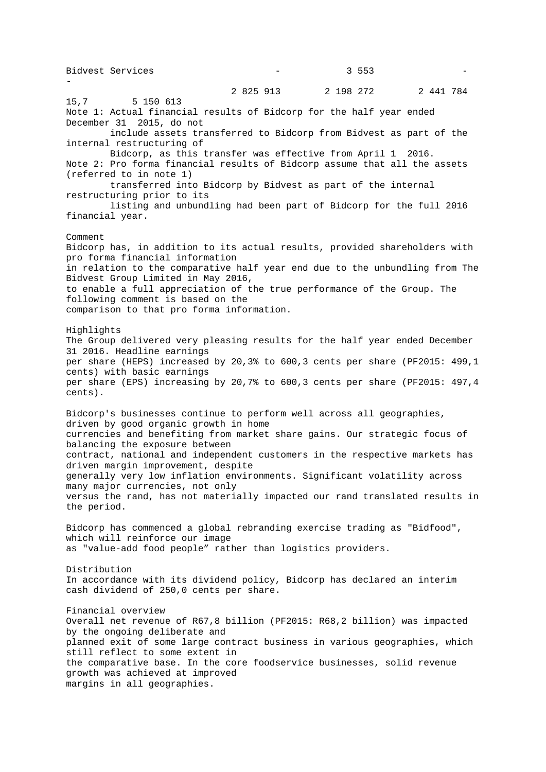Bidvest Services and the services of the services of  $\sim$  3 553 - 2 825 913 2 198 272 2 441 784 15,7 5 150 613 Note 1: Actual financial results of Bidcorp for the half year ended December 31 2015, do not include assets transferred to Bidcorp from Bidvest as part of the internal restructuring of Bidcorp, as this transfer was effective from April 1 2016. Note 2: Pro forma financial results of Bidcorp assume that all the assets (referred to in note 1) transferred into Bidcorp by Bidvest as part of the internal restructuring prior to its listing and unbundling had been part of Bidcorp for the full 2016 financial year. Comment Bidcorp has, in addition to its actual results, provided shareholders with pro forma financial information in relation to the comparative half year end due to the unbundling from The Bidvest Group Limited in May 2016, to enable a full appreciation of the true performance of the Group. The following comment is based on the comparison to that pro forma information. Highlights The Group delivered very pleasing results for the half year ended December 31 2016. Headline earnings per share (HEPS) increased by 20,3% to 600,3 cents per share (PF2015: 499,1 cents) with basic earnings per share (EPS) increasing by 20,7% to 600,3 cents per share (PF2015: 497,4 cents). Bidcorp's businesses continue to perform well across all geographies, driven by good organic growth in home currencies and benefiting from market share gains. Our strategic focus of balancing the exposure between contract, national and independent customers in the respective markets has driven margin improvement, despite generally very low inflation environments. Significant volatility across many major currencies, not only versus the rand, has not materially impacted our rand translated results in the period. Bidcorp has commenced a global rebranding exercise trading as "Bidfood", which will reinforce our image as "value-add food people" rather than logistics providers. Distribution In accordance with its dividend policy, Bidcorp has declared an interim cash dividend of 250,0 cents per share. Financial overview Overall net revenue of R67,8 billion (PF2015: R68,2 billion) was impacted by the ongoing deliberate and planned exit of some large contract business in various geographies, which still reflect to some extent in the comparative base. In the core foodservice businesses, solid revenue growth was achieved at improved margins in all geographies.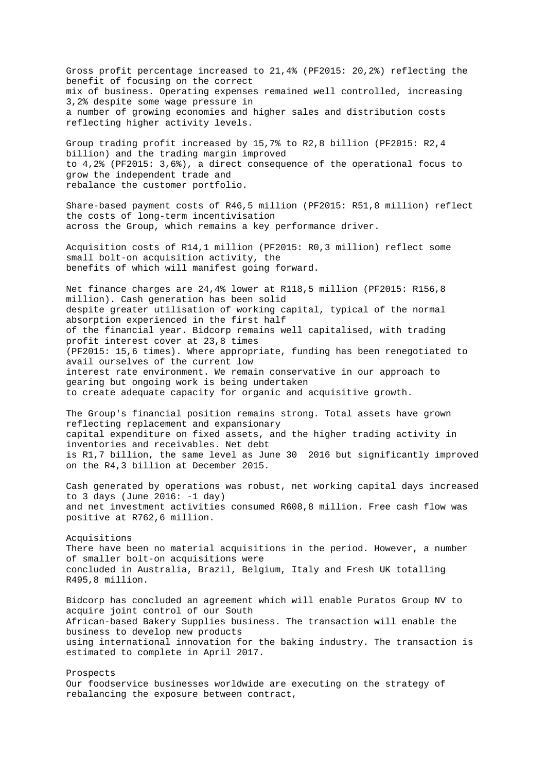Gross profit percentage increased to 21,4% (PF2015: 20,2%) reflecting the benefit of focusing on the correct mix of business. Operating expenses remained well controlled, increasing 3,2% despite some wage pressure in a number of growing economies and higher sales and distribution costs reflecting higher activity levels.

Group trading profit increased by 15,7% to R2,8 billion (PF2015: R2,4 billion) and the trading margin improved to 4,2% (PF2015: 3,6%), a direct consequence of the operational focus to grow the independent trade and rebalance the customer portfolio.

Share-based payment costs of R46,5 million (PF2015: R51,8 million) reflect the costs of long-term incentivisation across the Group, which remains a key performance driver.

Acquisition costs of R14,1 million (PF2015: R0,3 million) reflect some small bolt-on acquisition activity, the benefits of which will manifest going forward.

Net finance charges are 24,4% lower at R118,5 million (PF2015: R156,8 million). Cash generation has been solid despite greater utilisation of working capital, typical of the normal absorption experienced in the first half of the financial year. Bidcorp remains well capitalised, with trading profit interest cover at 23,8 times (PF2015: 15,6 times). Where appropriate, funding has been renegotiated to avail ourselves of the current low interest rate environment. We remain conservative in our approach to gearing but ongoing work is being undertaken to create adequate capacity for organic and acquisitive growth.

The Group's financial position remains strong. Total assets have grown reflecting replacement and expansionary capital expenditure on fixed assets, and the higher trading activity in inventories and receivables. Net debt is R1,7 billion, the same level as June 30 2016 but significantly improved on the R4,3 billion at December 2015.

Cash generated by operations was robust, net working capital days increased to 3 days (June  $2016: -1$  day) and net investment activities consumed R608,8 million. Free cash flow was positive at R762,6 million.

Acquisitions There have been no material acquisitions in the period. However, a number of smaller bolt-on acquisitions were concluded in Australia, Brazil, Belgium, Italy and Fresh UK totalling R495,8 million.

Bidcorp has concluded an agreement which will enable Puratos Group NV to acquire joint control of our South African-based Bakery Supplies business. The transaction will enable the business to develop new products using international innovation for the baking industry. The transaction is estimated to complete in April 2017.

Prospects Our foodservice businesses worldwide are executing on the strategy of rebalancing the exposure between contract,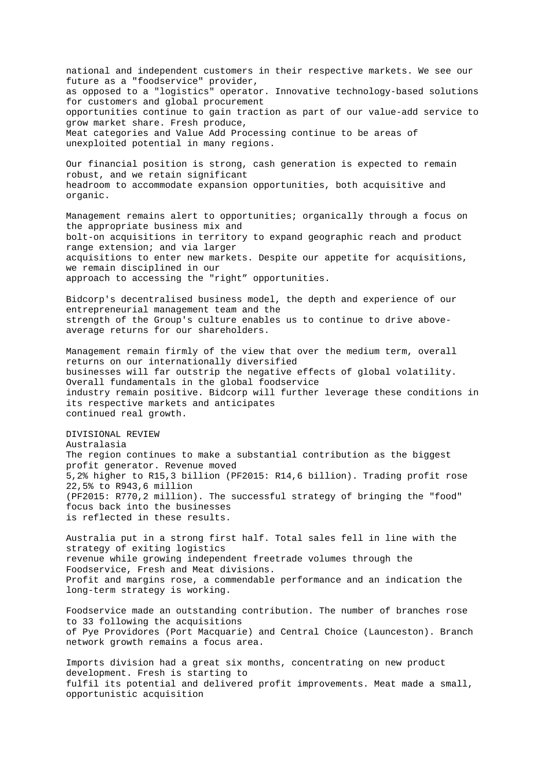national and independent customers in their respective markets. We see our future as a "foodservice" provider, as opposed to a "logistics" operator. Innovative technology-based solutions for customers and global procurement opportunities continue to gain traction as part of our value-add service to grow market share. Fresh produce, Meat categories and Value Add Processing continue to be areas of unexploited potential in many regions.

Our financial position is strong, cash generation is expected to remain robust, and we retain significant headroom to accommodate expansion opportunities, both acquisitive and organic.

Management remains alert to opportunities; organically through a focus on the appropriate business mix and bolt-on acquisitions in territory to expand geographic reach and product range extension; and via larger acquisitions to enter new markets. Despite our appetite for acquisitions, we remain disciplined in our approach to accessing the "right" opportunities.

Bidcorp's decentralised business model, the depth and experience of our entrepreneurial management team and the strength of the Group's culture enables us to continue to drive aboveaverage returns for our shareholders.

Management remain firmly of the view that over the medium term, overall returns on our internationally diversified businesses will far outstrip the negative effects of global volatility. Overall fundamentals in the global foodservice industry remain positive. Bidcorp will further leverage these conditions in its respective markets and anticipates continued real growth.

DIVISIONAL REVIEW Australasia The region continues to make a substantial contribution as the biggest profit generator. Revenue moved 5,2% higher to R15,3 billion (PF2015: R14,6 billion). Trading profit rose 22,5% to R943,6 million (PF2015: R770,2 million). The successful strategy of bringing the "food" focus back into the businesses is reflected in these results.

Australia put in a strong first half. Total sales fell in line with the strategy of exiting logistics revenue while growing independent freetrade volumes through the Foodservice, Fresh and Meat divisions. Profit and margins rose, a commendable performance and an indication the long-term strategy is working.

Foodservice made an outstanding contribution. The number of branches rose to 33 following the acquisitions of Pye Providores (Port Macquarie) and Central Choice (Launceston). Branch network growth remains a focus area.

Imports division had a great six months, concentrating on new product development. Fresh is starting to fulfil its potential and delivered profit improvements. Meat made a small, opportunistic acquisition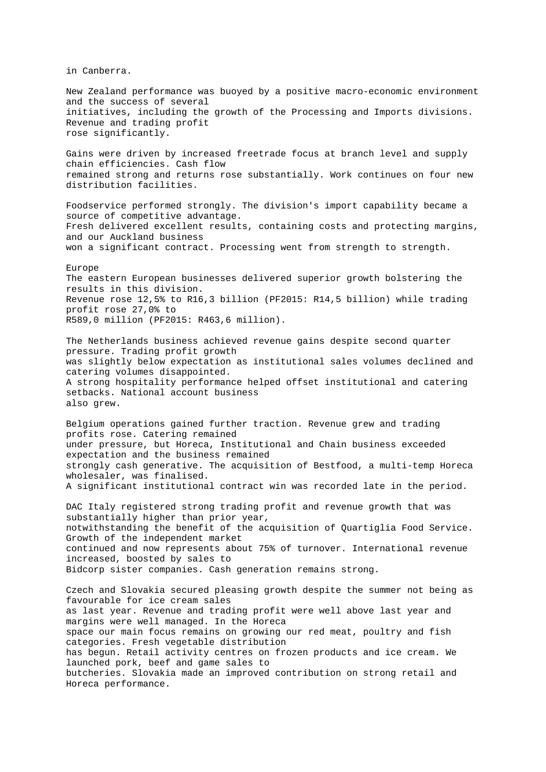in Canberra.

New Zealand performance was buoyed by a positive macro-economic environment and the success of several initiatives, including the growth of the Processing and Imports divisions. Revenue and trading profit rose significantly.

Gains were driven by increased freetrade focus at branch level and supply chain efficiencies. Cash flow remained strong and returns rose substantially. Work continues on four new distribution facilities.

Foodservice performed strongly. The division's import capability became a source of competitive advantage. Fresh delivered excellent results, containing costs and protecting margins, and our Auckland business won a significant contract. Processing went from strength to strength.

## Europe

The eastern European businesses delivered superior growth bolstering the results in this division. Revenue rose 12,5% to R16,3 billion (PF2015: R14,5 billion) while trading profit rose 27,0% to R589,0 million (PF2015: R463,6 million).

The Netherlands business achieved revenue gains despite second quarter pressure. Trading profit growth was slightly below expectation as institutional sales volumes declined and catering volumes disappointed. A strong hospitality performance helped offset institutional and catering setbacks. National account business also grew.

Belgium operations gained further traction. Revenue grew and trading profits rose. Catering remained under pressure, but Horeca, Institutional and Chain business exceeded expectation and the business remained strongly cash generative. The acquisition of Bestfood, a multi-temp Horeca wholesaler, was finalised. A significant institutional contract win was recorded late in the period.

DAC Italy registered strong trading profit and revenue growth that was substantially higher than prior year, notwithstanding the benefit of the acquisition of Quartiglia Food Service. Growth of the independent market continued and now represents about 75% of turnover. International revenue increased, boosted by sales to Bidcorp sister companies. Cash generation remains strong.

Czech and Slovakia secured pleasing growth despite the summer not being as favourable for ice cream sales as last year. Revenue and trading profit were well above last year and margins were well managed. In the Horeca space our main focus remains on growing our red meat, poultry and fish categories. Fresh vegetable distribution has begun. Retail activity centres on frozen products and ice cream. We launched pork, beef and game sales to butcheries. Slovakia made an improved contribution on strong retail and Horeca performance.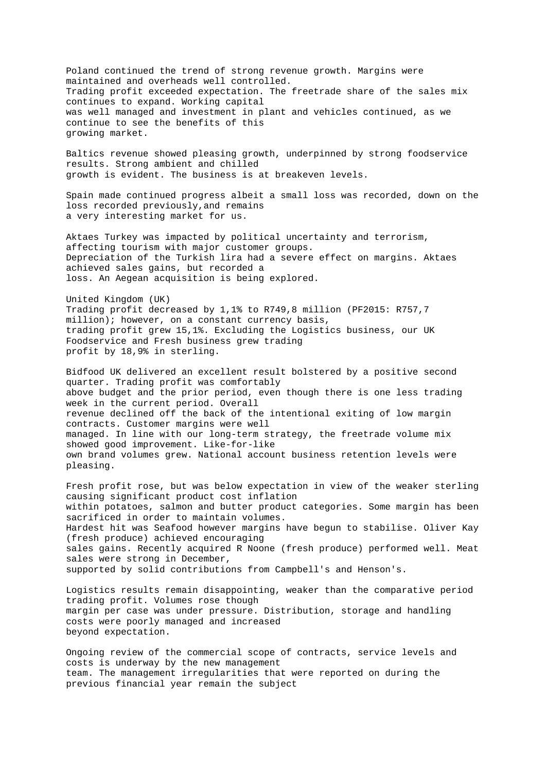Poland continued the trend of strong revenue growth. Margins were maintained and overheads well controlled. Trading profit exceeded expectation. The freetrade share of the sales mix continues to expand. Working capital was well managed and investment in plant and vehicles continued, as we continue to see the benefits of this growing market.

Baltics revenue showed pleasing growth, underpinned by strong foodservice results. Strong ambient and chilled growth is evident. The business is at breakeven levels.

Spain made continued progress albeit a small loss was recorded, down on the loss recorded previously,and remains a very interesting market for us.

Aktaes Turkey was impacted by political uncertainty and terrorism, affecting tourism with major customer groups. Depreciation of the Turkish lira had a severe effect on margins. Aktaes achieved sales gains, but recorded a loss. An Aegean acquisition is being explored.

United Kingdom (UK) Trading profit decreased by 1,1% to R749,8 million (PF2015: R757,7 million); however, on a constant currency basis, trading profit grew 15,1%. Excluding the Logistics business, our UK Foodservice and Fresh business grew trading profit by 18,9% in sterling.

Bidfood UK delivered an excellent result bolstered by a positive second quarter. Trading profit was comfortably above budget and the prior period, even though there is one less trading week in the current period. Overall revenue declined off the back of the intentional exiting of low margin contracts. Customer margins were well managed. In line with our long-term strategy, the freetrade volume mix showed good improvement. Like-for-like own brand volumes grew. National account business retention levels were pleasing.

Fresh profit rose, but was below expectation in view of the weaker sterling causing significant product cost inflation within potatoes, salmon and butter product categories. Some margin has been sacrificed in order to maintain volumes. Hardest hit was Seafood however margins have begun to stabilise. Oliver Kay (fresh produce) achieved encouraging sales gains. Recently acquired R Noone (fresh produce) performed well. Meat sales were strong in December, supported by solid contributions from Campbell's and Henson's.

Logistics results remain disappointing, weaker than the comparative period trading profit. Volumes rose though margin per case was under pressure. Distribution, storage and handling costs were poorly managed and increased beyond expectation.

Ongoing review of the commercial scope of contracts, service levels and costs is underway by the new management team. The management irregularities that were reported on during the previous financial year remain the subject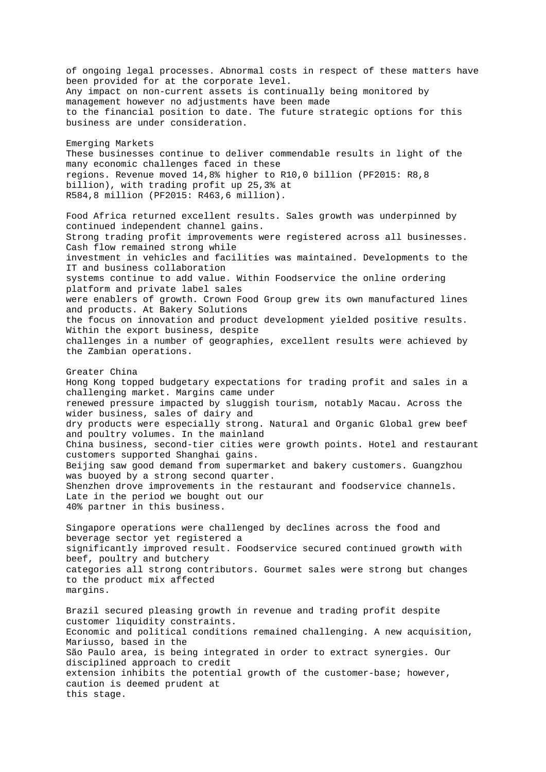of ongoing legal processes. Abnormal costs in respect of these matters have been provided for at the corporate level. Any impact on non-current assets is continually being monitored by management however no adjustments have been made to the financial position to date. The future strategic options for this business are under consideration.

Emerging Markets These businesses continue to deliver commendable results in light of the many economic challenges faced in these regions. Revenue moved 14,8% higher to R10,0 billion (PF2015: R8,8 billion), with trading profit up 25,3% at R584,8 million (PF2015: R463,6 million).

Food Africa returned excellent results. Sales growth was underpinned by continued independent channel gains. Strong trading profit improvements were registered across all businesses. Cash flow remained strong while investment in vehicles and facilities was maintained. Developments to the IT and business collaboration systems continue to add value. Within Foodservice the online ordering platform and private label sales were enablers of growth. Crown Food Group grew its own manufactured lines and products. At Bakery Solutions the focus on innovation and product development yielded positive results. Within the export business, despite challenges in a number of geographies, excellent results were achieved by the Zambian operations.

Greater China Hong Kong topped budgetary expectations for trading profit and sales in a challenging market. Margins came under renewed pressure impacted by sluggish tourism, notably Macau. Across the wider business, sales of dairy and dry products were especially strong. Natural and Organic Global grew beef and poultry volumes. In the mainland China business, second-tier cities were growth points. Hotel and restaurant customers supported Shanghai gains. Beijing saw good demand from supermarket and bakery customers. Guangzhou was buoyed by a strong second quarter. Shenzhen drove improvements in the restaurant and foodservice channels. Late in the period we bought out our 40% partner in this business.

Singapore operations were challenged by declines across the food and beverage sector yet registered a significantly improved result. Foodservice secured continued growth with beef, poultry and butchery categories all strong contributors. Gourmet sales were strong but changes to the product mix affected margins.

Brazil secured pleasing growth in revenue and trading profit despite customer liquidity constraints. Economic and political conditions remained challenging. A new acquisition, Mariusso, based in the São Paulo area, is being integrated in order to extract synergies. Our disciplined approach to credit extension inhibits the potential growth of the customer-base; however, caution is deemed prudent at this stage.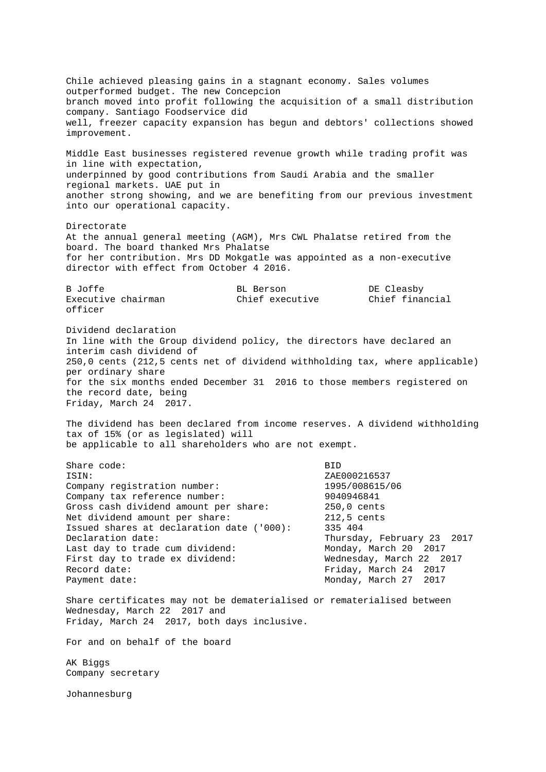Chile achieved pleasing gains in a stagnant economy. Sales volumes outperformed budget. The new Concepcion branch moved into profit following the acquisition of a small distribution company. Santiago Foodservice did well, freezer capacity expansion has begun and debtors' collections showed improvement. Middle East businesses registered revenue growth while trading profit was in line with expectation, underpinned by good contributions from Saudi Arabia and the smaller regional markets. UAE put in another strong showing, and we are benefiting from our previous investment into our operational capacity. Directorate At the annual general meeting (AGM), Mrs CWL Phalatse retired from the board. The board thanked Mrs Phalatse for her contribution. Mrs DD Mokgatle was appointed as a non-executive director with effect from October 4 2016. B Joffe BL Berson DE Cleasby Chief executive Chief financial Chief executive officer Dividend declaration In line with the Group dividend policy, the directors have declared an interim cash dividend of 250,0 cents (212,5 cents net of dividend withholding tax, where applicable) per ordinary share for the six months ended December 31 2016 to those members registered on the record date, being Friday, March 24 2017. The dividend has been declared from income reserves. A dividend withholding tax of 15% (or as legislated) will be applicable to all shareholders who are not exempt. Share code: BID ZAE000216537<br>1995/008615/06 Company registration number: 1995/00861<br>Company tax reference number: 9040946841 Company tax reference number: 9040946841<br>Gross cash dividend amount per share: 250,0 cents Gross cash dividend amount per share: 250,0 cents<br>Net dividend amount per share: 212,5 cents Net dividend amount per share: 212,5 c<br>Issued shares at declaration date ('000): 335 404 Issued shares at declaration date ('000):<br>Declaration date: Thursday, February 23 2017<br>Monday, March 20 2017 Last day to trade cum dividend: Monday, March 20 2017<br>First day to trade ex dividend: Wednesday, March 22 2017 First day to trade ex dividend:<br>Record date: Record date: Friday, March 24 2017 Monday, March 27 2017 Share certificates may not be dematerialised or rematerialised between Wednesday, March 22 2017 and Friday, March 24 2017, both days inclusive. For and on behalf of the board AK Biggs Company secretary Johannesburg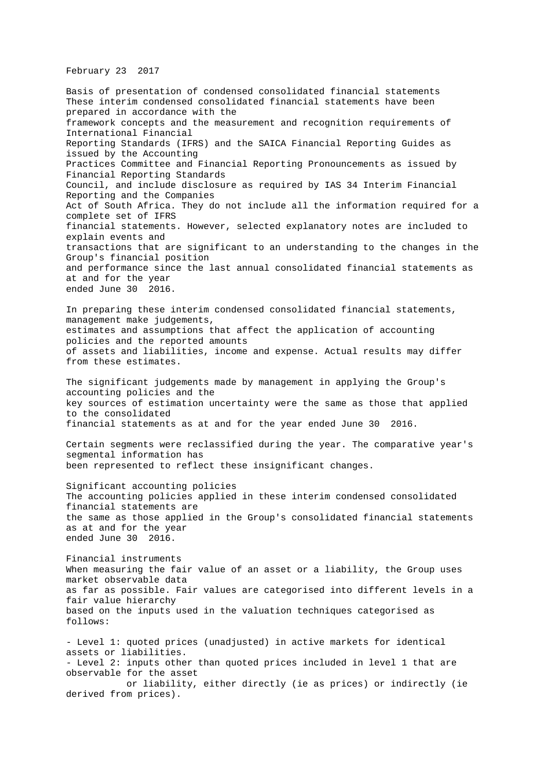February 23 2017

These interim condensed consolidated financial statements have been prepared in accordance with the framework concepts and the measurement and recognition requirements of International Financial Reporting Standards (IFRS) and the SAICA Financial Reporting Guides as issued by the Accounting Practices Committee and Financial Reporting Pronouncements as issued by Financial Reporting Standards Council, and include disclosure as required by IAS 34 Interim Financial Reporting and the Companies Act of South Africa. They do not include all the information required for a complete set of IFRS financial statements. However, selected explanatory notes are included to explain events and transactions that are significant to an understanding to the changes in the Group's financial position and performance since the last annual consolidated financial statements as at and for the year ended June 30 2016. In preparing these interim condensed consolidated financial statements, management make judgements, estimates and assumptions that affect the application of accounting policies and the reported amounts of assets and liabilities, income and expense. Actual results may differ from these estimates. The significant judgements made by management in applying the Group's accounting policies and the key sources of estimation uncertainty were the same as those that applied to the consolidated financial statements as at and for the year ended June 30 2016. Certain segments were reclassified during the year. The comparative year's segmental information has been represented to reflect these insignificant changes. Significant accounting policies The accounting policies applied in these interim condensed consolidated financial statements are the same as those applied in the Group's consolidated financial statements as at and for the year ended June 30 2016. Financial instruments When measuring the fair value of an asset or a liability, the Group uses market observable data as far as possible. Fair values are categorised into different levels in a fair value hierarchy based on the inputs used in the valuation techniques categorised as follows: - Level 1: quoted prices (unadjusted) in active markets for identical assets or liabilities. - Level 2: inputs other than quoted prices included in level 1 that are observable for the asset or liability, either directly (ie as prices) or indirectly (ie derived from prices).

Basis of presentation of condensed consolidated financial statements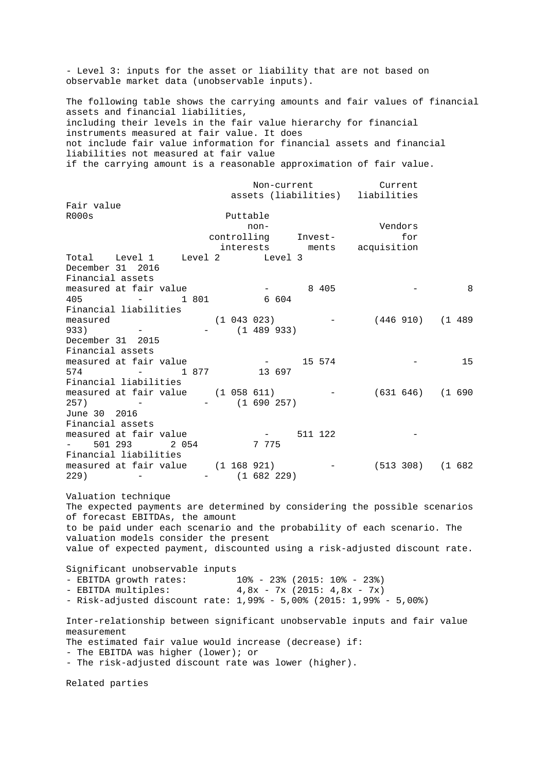observable market data (unobservable inputs). The following table shows the carrying amounts and fair values of financial assets and financial liabilities, including their levels in the fair value hierarchy for financial instruments measured at fair value. It does not include fair value information for financial assets and financial liabilities not measured at fair value if the carrying amount is a reasonable approximation of fair value.

- Level 3: inputs for the asset or liability that are not based on

|                                                       |               |                     | Non-current Current                       |    |
|-------------------------------------------------------|---------------|---------------------|-------------------------------------------|----|
|                                                       |               |                     | assets (liabilities) liabilities          |    |
| Fair value                                            |               |                     |                                           |    |
| R000s                                                 | Puttable      |                     |                                           |    |
|                                                       | non-          |                     | Vendors                                   |    |
|                                                       |               | controlling Invest- | for                                       |    |
|                                                       |               |                     | interests ments acquisition               |    |
| Total Level 1 Level 2 Level 3                         |               |                     |                                           |    |
| December 31 2016                                      |               |                     |                                           |    |
| Financial assets                                      |               |                     |                                           |    |
| measured at fair value                                |               | $-8405$             |                                           | 8  |
| 405 - 1 801 6 604                                     |               |                     |                                           |    |
| Financial liabilities                                 |               |                     |                                           |    |
| measured                                              |               |                     | $(1\ 043\ 023)$ - $(446\ 910)$ $(1\ 489)$ |    |
| $933)$ -                                              | $- (1489933)$ |                     |                                           |    |
| December 31 2015                                      |               |                     |                                           |    |
| Financial assets                                      |               |                     |                                           |    |
| measured at fair value                                |               | $-15574$            |                                           | 15 |
| 574 - 1 877 13 697                                    |               |                     |                                           |    |
| Financial liabilities                                 |               |                     |                                           |    |
| measured at fair value (1 058 611) - (631 646) (1 690 |               |                     |                                           |    |
| $257)$ - (1 690 257)                                  |               |                     |                                           |    |
| June 30 2016                                          |               |                     |                                           |    |
| Financial assets                                      |               |                     |                                           |    |
| measured at fair value 100 - 122                      |               |                     |                                           |    |
| $-$ 501 293 2 054 7 775                               |               |                     |                                           |    |
| Financial liabilities                                 |               |                     |                                           |    |
| measured at fair value (1 168 921) - (513 308) (1 682 |               |                     |                                           |    |
| $229$ ) - $-$ (1 682 229)                             |               |                     |                                           |    |
|                                                       |               |                     |                                           |    |

Valuation technique The expected payments are determined by considering the possible scenarios of forecast EBITDAs, the amount to be paid under each scenario and the probability of each scenario. The valuation models consider the present value of expected payment, discounted using a risk-adjusted discount rate.

Significant unobservable inputs<br>- EBITDA growth rates: 1 - EBITDA growth rates:  $10^{\circ}$  - 23% (2015: 10% - 23%)<br>- EBITDA multiples:  $4, 8x - 7x$  (2015:  $4, 8x - 7x$ )  $4,8x - 7x (2015: 4,8x - 7x)$ - Risk-adjusted discount rate: 1,99% - 5,00% (2015: 1,99% - 5,00%) Inter-relationship between significant unobservable inputs and fair value

measurement The estimated fair value would increase (decrease) if:

- The EBITDA was higher (lower); or

- The risk-adjusted discount rate was lower (higher).

Related parties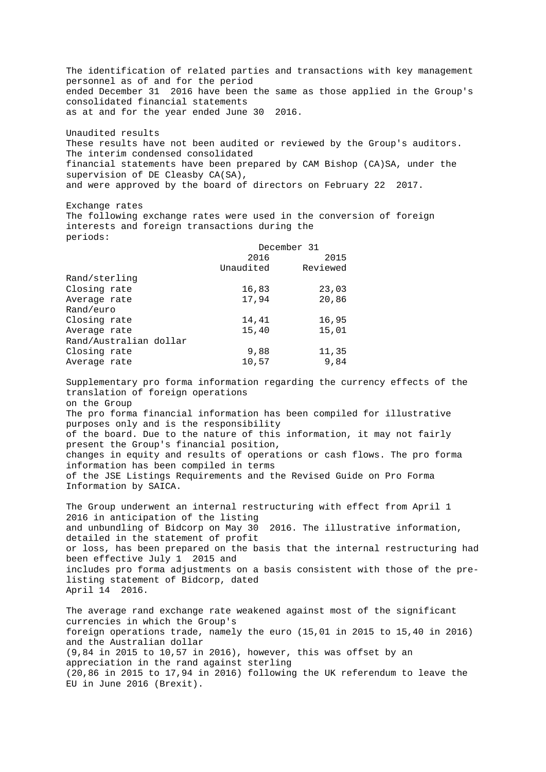The identification of related parties and transactions with key management personnel as of and for the period ended December 31 2016 have been the same as those applied in the Group's consolidated financial statements as at and for the year ended June 30 2016.

Unaudited results These results have not been audited or reviewed by the Group's auditors. The interim condensed consolidated financial statements have been prepared by CAM Bishop (CA)SA, under the supervision of DE Cleasby CA(SA), and were approved by the board of directors on February 22 2017.

Exchange rates The following exchange rates were used in the conversion of foreign interests and foreign transactions during the periods:

| December 31 |          |  |  |
|-------------|----------|--|--|
| 2016        | 2015     |  |  |
| Unaudited   | Reviewed |  |  |
|             |          |  |  |
| 16,83       | 23,03    |  |  |
| 17,94       | 20,86    |  |  |
|             |          |  |  |
| 14,41       | 16,95    |  |  |
| 15,40       | 15,01    |  |  |
|             |          |  |  |
| 9,88        | 11,35    |  |  |
| 10,57       | 9,84     |  |  |
|             |          |  |  |

Supplementary pro forma information regarding the currency effects of the translation of foreign operations on the Group The pro forma financial information has been compiled for illustrative purposes only and is the responsibility of the board. Due to the nature of this information, it may not fairly present the Group's financial position, changes in equity and results of operations or cash flows. The pro forma information has been compiled in terms of the JSE Listings Requirements and the Revised Guide on Pro Forma Information by SAICA.

The Group underwent an internal restructuring with effect from April 1 2016 in anticipation of the listing and unbundling of Bidcorp on May 30 2016. The illustrative information, detailed in the statement of profit or loss, has been prepared on the basis that the internal restructuring had been effective July 1 2015 and includes pro forma adjustments on a basis consistent with those of the prelisting statement of Bidcorp, dated April 14 2016.

The average rand exchange rate weakened against most of the significant currencies in which the Group's foreign operations trade, namely the euro (15,01 in 2015 to 15,40 in 2016) and the Australian dollar (9,84 in 2015 to 10,57 in 2016), however, this was offset by an appreciation in the rand against sterling (20,86 in 2015 to 17,94 in 2016) following the UK referendum to leave the EU in June 2016 (Brexit).